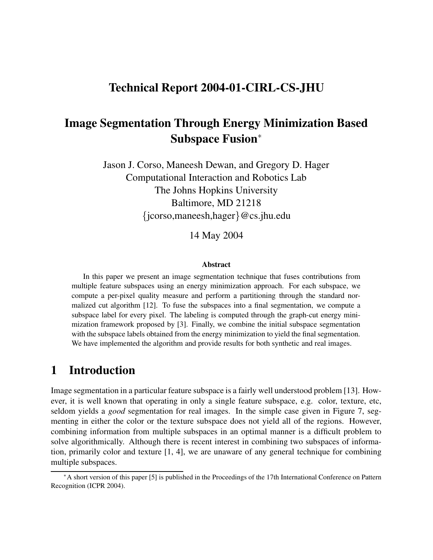# **Technical Report 2004-01-CIRL-CS-JHU**

# **Image Segmentation Through Energy Minimization Based Subspace Fusion**<sup>∗</sup>

Jason J. Corso, Maneesh Dewan, and Gregory D. Hager Computational Interaction and Robotics Lab The Johns Hopkins University Baltimore, MD 21218 {jcorso,maneesh,hager}@cs.jhu.edu

14 May 2004

#### **Abstract**

In this paper we present an image segmentation technique that fuses contributions from multiple feature subspaces using an energy minimization approach. For each subspace, we compute a per-pixel quality measure and perform a partitioning through the standard normalized cut algorithm [12]. To fuse the subspaces into a final segmentation, we compute a subspace label for every pixel. The labeling is computed through the graph-cut energy minimization framework proposed by [3]. Finally, we combine the initial subspace segmentation with the subspace labels obtained from the energy minimization to yield the final segmentation. We have implemented the algorithm and provide results for both synthetic and real images.

# **1 Introduction**

Image segmentation in a particular feature subspace is a fairly well understood problem [13]. However, it is well known that operating in only a single feature subspace, e.g. color, texture, etc, seldom yields a *good* segmentation for real images. In the simple case given in Figure 7, segmenting in either the color or the texture subspace does not yield all of the regions. However, combining information from multiple subspaces in an optimal manner is a difficult problem to solve algorithmically. Although there is recent interest in combining two subspaces of information, primarily color and texture [1, 4], we are unaware of any general technique for combining multiple subspaces.

<sup>∗</sup>A short version of this paper [5] is published in the Proceedings of the 17th International Conference on Pattern Recognition (ICPR 2004).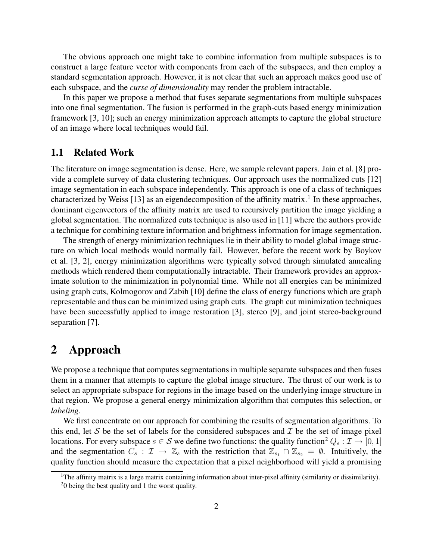The obvious approach one might take to combine information from multiple subspaces is to construct a large feature vector with components from each of the subspaces, and then employ a standard segmentation approach. However, it is not clear that such an approach makes good use of each subspace, and the *curse of dimensionality* may render the problem intractable.

In this paper we propose a method that fuses separate segmentations from multiple subspaces into one final segmentation. The fusion is performed in the graph-cuts based energy minimization framework [3, 10]; such an energy minimization approach attempts to capture the global structure of an image where local techniques would fail.

## **1.1 Related Work**

The literature on image segmentation is dense. Here, we sample relevant papers. Jain et al. [8] provide a complete survey of data clustering techniques. Our approach uses the normalized cuts [12] image segmentation in each subspace independently. This approach is one of a class of techniques characterized by Weiss [13] as an eigendecomposition of the affinity matrix.<sup>1</sup> In these approaches, dominant eigenvectors of the affinity matrix are used to recursively partition the image yielding a global segmentation. The normalized cuts technique is also used in [11] where the authors provide a technique for combining texture information and brightness information for image segmentation.

The strength of energy minimization techniques lie in their ability to model global image structure on which local methods would normally fail. However, before the recent work by Boykov et al. [3, 2], energy minimization algorithms were typically solved through simulated annealing methods which rendered them computationally intractable. Their framework provides an approximate solution to the minimization in polynomial time. While not all energies can be minimized using graph cuts, Kolmogorov and Zabih [10] define the class of energy functions which are graph representable and thus can be minimized using graph cuts. The graph cut minimization techniques have been successfully applied to image restoration [3], stereo [9], and joint stereo-background separation [7].

## **2 Approach**

We propose a technique that computes segmentations in multiple separate subspaces and then fuses them in a manner that attempts to capture the global image structure. The thrust of our work is to select an appropriate subspace for regions in the image based on the underlying image structure in that region. We propose a general energy minimization algorithm that computes this selection, or *labeling*.

We first concentrate on our approach for combining the results of segmentation algorithms. To this end, let S be the set of labels for the considered subspaces and  $\mathcal I$  be the set of image pixel locations. For every subspace  $s \in \mathcal{S}$  we define two functions: the quality function<sup>2</sup>  $Q_s : \mathcal{I} \to [0, 1]$ and the segmentation  $C_s : \mathcal{I} \to \mathbb{Z}_s$  with the restriction that  $\mathbb{Z}_{s_1} \cap \mathbb{Z}_{s_2} = \emptyset$ . Intuitively, the quality function should measure the expectation that a pixel neighborhood will yield a promising

<sup>&</sup>lt;sup>1</sup>The affinity matrix is a large matrix containing information about inter-pixel affinity (similarity or dissimilarity).

 $20$  being the best quality and 1 the worst quality.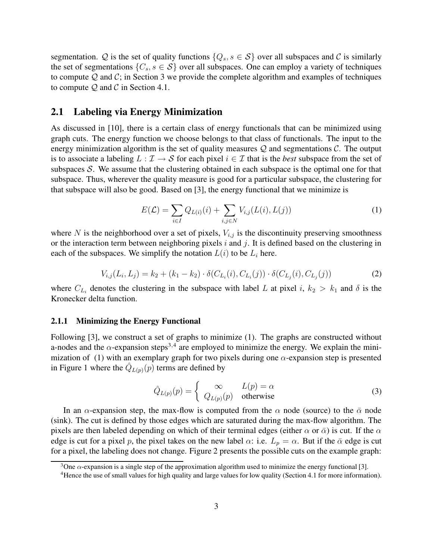segmentation. Q is the set of quality functions  $\{Q_s, s \in S\}$  over all subspaces and C is similarly the set of segmentations  $\{C_s, s \in S\}$  over all subspaces. One can employ a variety of techniques to compute  $Q$  and  $C$ ; in Section 3 we provide the complete algorithm and examples of techniques to compute  $Q$  and  $C$  in Section 4.1.

### **2.1 Labeling via Energy Minimization**

As discussed in [10], there is a certain class of energy functionals that can be minimized using graph cuts. The energy function we choose belongs to that class of functionals. The input to the energy minimization algorithm is the set of quality measures  $Q$  and segmentations  $C$ . The output is to associate a labeling  $L : \mathcal{I} \to \mathcal{S}$  for each pixel  $i \in \mathcal{I}$  that is the *best* subspace from the set of subspaces  $S$ . We assume that the clustering obtained in each subspace is the optimal one for that subspace. Thus, wherever the quality measure is good for a particular subspace, the clustering for that subspace will also be good. Based on [3], the energy functional that we minimize is

$$
E(\mathcal{L}) = \sum_{i \in I} Q_{L(i)}(i) + \sum_{i,j \in N} V_{i,j}(L(i), L(j))
$$
\n(1)

where N is the neighborhood over a set of pixels,  $V_{i,j}$  is the discontinuity preserving smoothness or the interaction term between neighboring pixels  $i$  and  $j$ . It is defined based on the clustering in each of the subspaces. We simplify the notation  $L(i)$  to be  $L_i$  here.

$$
V_{i,j}(L_i, L_j) = k_2 + (k_1 - k_2) \cdot \delta(C_{L_i}(i), C_{L_i}(j)) \cdot \delta(C_{L_j}(i), C_{L_j}(j))
$$
\n(2)

where  $C_{L_i}$  denotes the clustering in the subspace with label L at pixel i,  $k_2 > k_1$  and  $\delta$  is the Kronecker delta function.

#### **2.1.1 Minimizing the Energy Functional**

Following [3], we construct a set of graphs to minimize (1). The graphs are constructed without a-nodes and the  $\alpha$ -expansion steps<sup>3,4</sup> are employed to minimize the energy. We explain the minimization of (1) with an exemplary graph for two pixels during one  $\alpha$ -expansion step is presented in Figure 1 where the  $\hat{Q}_{L(p)}(p)$  terms are defined by

$$
\hat{Q}_{L(p)}(p) = \begin{cases} \infty & L(p) = \alpha \\ Q_{L(p)}(p) & \text{otherwise} \end{cases}
$$
 (3)

In an  $\alpha$ -expansion step, the max-flow is computed from the  $\alpha$  node (source) to the  $\bar{\alpha}$  node (sink). The cut is defined by those edges which are saturated during the max-flow algorithm. The pixels are then labeled depending on which of their terminal edges (either  $\alpha$  or  $\bar{\alpha}$ ) is cut. If the  $\alpha$ edge is cut for a pixel p, the pixel takes on the new label  $\alpha$ : i.e.  $L_p = \alpha$ . But if the  $\bar{\alpha}$  edge is cut for a pixel, the labeling does not change. Figure 2 presents the possible cuts on the example graph:

<sup>&</sup>lt;sup>3</sup>One  $\alpha$ -expansion is a single step of the approximation algorithm used to minimize the energy functional [3].

<sup>4</sup>Hence the use of small values for high quality and large values for low quality (Section 4.1 for more information).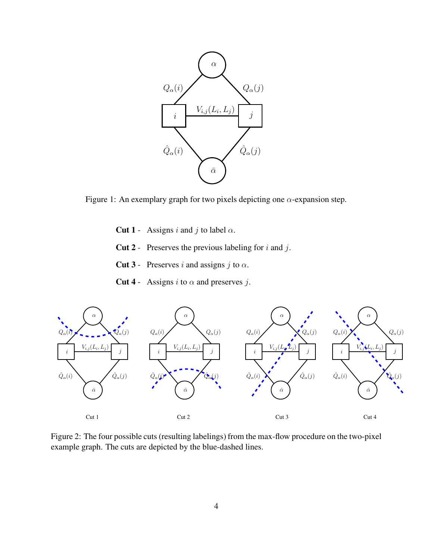

Figure 1: An exemplary graph for two pixels depicting one  $\alpha$ -expansion step.

- **Cut 1** Assigns i and j to label  $\alpha$ .
- **Cut 2** Preserves the previous labeling for i and j.
- **Cut 3** Preserves i and assigns j to  $\alpha$ .
- **Cut 4** Assigns *i* to  $\alpha$  and preserves *j*.



Figure 2: The four possible cuts(resulting labelings) from the max-flow procedure on the two-pixel example graph. The cuts are depicted by the blue-dashed lines.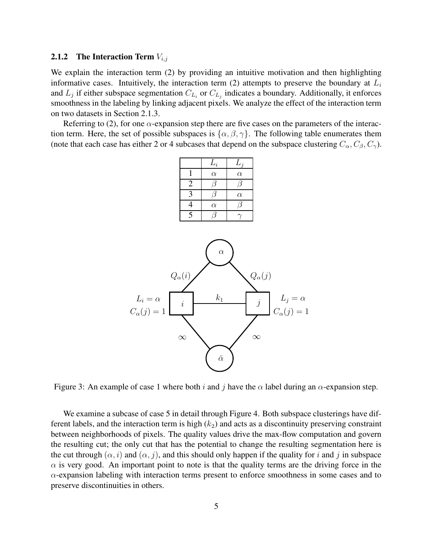#### **2.1.2 The Interaction Term**  $V_{i,j}$

We explain the interaction term (2) by providing an intuitive motivation and then highlighting informative cases. Intuitively, the interaction term (2) attempts to preserve the boundary at  $L_i$ and  $L_j$  if either subspace segmentation  $C_{L_i}$  or  $C_{L_j}$  indicates a boundary. Additionally, it enforces smoothness in the labeling by linking adjacent pixels. We analyze the effect of the interaction term on two datasets in Section 2.1.3.

Referring to (2), for one  $\alpha$ -expansion step there are five cases on the parameters of the interaction term. Here, the set of possible subspaces is  $\{\alpha, \beta, \gamma\}$ . The following table enumerates them (note that each case has either 2 or 4 subcases that depend on the subspace clustering  $C_{\alpha}$ ,  $C_{\beta}$ ,  $C_{\gamma}$ ).

|                           | $L_i$    | $L_j$    |
|---------------------------|----------|----------|
|                           | $\alpha$ | $\alpha$ |
| $\overline{2}$            |          |          |
| $\boldsymbol{\mathsf{a}}$ |          | $\alpha$ |
| 4                         | $\alpha$ |          |
| 5                         |          |          |



Figure 3: An example of case 1 where both i and j have the  $\alpha$  label during an  $\alpha$ -expansion step.

We examine a subcase of case 5 in detail through Figure 4. Both subspace clusterings have different labels, and the interaction term is high  $(k_2)$  and acts as a discontinuity preserving constraint between neighborhoods of pixels. The quality values drive the max-flow computation and govern the resulting cut; the only cut that has the potential to change the resulting segmentation here is the cut through  $(\alpha, i)$  and  $(\alpha, j)$ , and this should only happen if the quality for i and j in subspace  $\alpha$  is very good. An important point to note is that the quality terms are the driving force in the  $\alpha$ -expansion labeling with interaction terms present to enforce smoothness in some cases and to preserve discontinuities in others.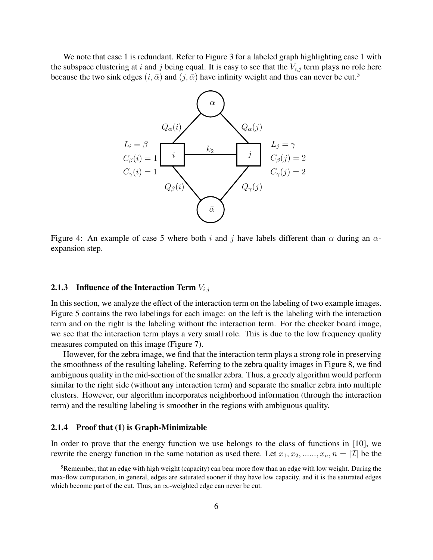We note that case 1 is redundant. Refer to Figure 3 for a labeled graph highlighting case 1 with the subspace clustering at i and j being equal. It is easy to see that the  $V_{i,j}$  term plays no role here because the two sink edges  $(i, \bar{\alpha})$  and  $(j, \bar{\alpha})$  have infinity weight and thus can never be cut.<sup>5</sup>



Figure 4: An example of case 5 where both i and j have labels different than  $\alpha$  during an  $\alpha$ expansion step.

#### **2.1.3 Influence of the Interaction Term**  $V_{i,j}$

In this section, we analyze the effect of the interaction term on the labeling of two example images. Figure 5 contains the two labelings for each image: on the left is the labeling with the interaction term and on the right is the labeling without the interaction term. For the checker board image, we see that the interaction term plays a very small role. This is due to the low frequency quality measures computed on this image (Figure 7).

However, for the zebra image, we find that the interaction term plays a strong role in preserving the smoothness of the resulting labeling. Referring to the zebra quality images in Figure 8, we find ambiguous quality in the mid-section of the smaller zebra. Thus, a greedy algorithm would perform similar to the right side (without any interaction term) and separate the smaller zebra into multiple clusters. However, our algorithm incorporates neighborhood information (through the interaction term) and the resulting labeling is smoother in the regions with ambiguous quality.

#### **2.1.4 Proof that (1) is Graph-Minimizable**

In order to prove that the energy function we use belongs to the class of functions in [10], we rewrite the energy function in the same notation as used there. Let  $x_1, x_2, \ldots, x_n, n = |\mathcal{I}|$  be the

<sup>&</sup>lt;sup>5</sup>Remember, that an edge with high weight (capacity) can bear more flow than an edge with low weight. During the max-flow computation, in general, edges are saturated sooner if they have low capacity, and it is the saturated edges which become part of the cut. Thus, an  $\infty$ -weighted edge can never be cut.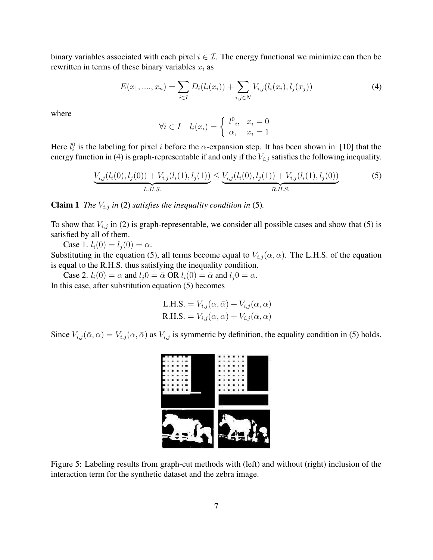binary variables associated with each pixel  $i \in \mathcal{I}$ . The energy functional we minimize can then be rewritten in terms of these binary variables  $x_i$  as

$$
E(x_1, ..., x_n) = \sum_{i \in I} D_i(l_i(x_i)) + \sum_{i,j \in N} V_{i,j}(l_i(x_i), l_j(x_j))
$$
\n(4)

where

$$
\forall i \in I \quad l_i(x_i) = \begin{cases} l^0_i, & x_i = 0 \\ \alpha, & x_i = 1 \end{cases}
$$

Here  $l_i^0$  is the labeling for pixel i before the  $\alpha$ -expansion step. It has been shown in [10] that the energy function in (4) is graph-representable if and only if the  $V_{i,j}$  satisfies the following inequality.

$$
\underbrace{V_{i,j}(l_i(0), l_j(0)) + V_{i,j}(l_i(1), l_j(1))}_{L.H.S.} \leq \underbrace{V_{i,j}(l_i(0), l_j(1)) + V_{i,j}(l_i(1), l_j(0))}_{R.H.S.}
$$
\n<sup>(5)</sup>

**Claim 1** *The*  $V_{i,j}$  *in* (2) *satisfies the inequality condition in* (5)*.* 

To show that  $V_{i,j}$  in (2) is graph-representable, we consider all possible cases and show that (5) is satisfied by all of them.

Case 1.  $l_i(0) = l_j(0) = \alpha$ .

Substituting in the equation (5), all terms become equal to  $V_{i,j}(\alpha, \alpha)$ . The L.H.S. of the equation is equal to the R.H.S. thus satisfying the inequality condition.

Case 2.  $l_i(0) = \alpha$  and  $l_j 0 = \bar{\alpha}$  OR  $l_i(0) = \bar{\alpha}$  and  $l_j 0 = \alpha$ . In this case, after substitution equation (5) becomes

L.H.S. = 
$$
V_{i,j}(\alpha, \bar{\alpha}) + V_{i,j}(\alpha, \alpha)
$$
  
R.H.S. =  $V_{i,j}(\alpha, \alpha) + V_{i,j}(\bar{\alpha}, \alpha)$ 

Since  $V_{i,j}(\bar{\alpha}, \alpha) = V_{i,j}(\alpha, \bar{\alpha})$  as  $V_{i,j}$  is symmetric by definition, the equality condition in (5) holds.



Figure 5: Labeling results from graph-cut methods with (left) and without (right) inclusion of the interaction term for the synthetic dataset and the zebra image.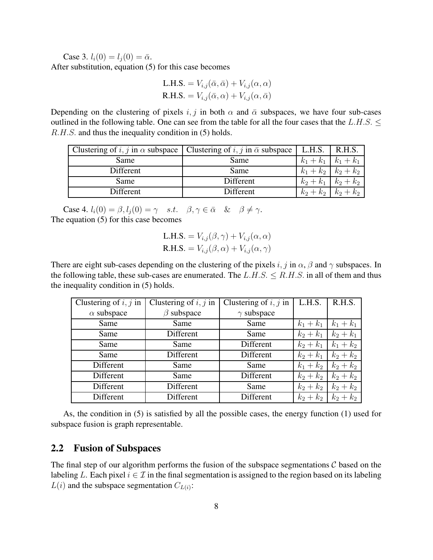Case 3.  $l_i(0) = l_i(0) = \bar{\alpha}$ . After substitution, equation (5) for this case becomes

L.H.S. = 
$$
V_{i,j}(\bar{\alpha}, \bar{\alpha}) + V_{i,j}(\alpha, \alpha)
$$
  
R.H.S. =  $V_{i,j}(\bar{\alpha}, \alpha) + V_{i,j}(\alpha, \bar{\alpha})$ 

Depending on the clustering of pixels i, j in both  $\alpha$  and  $\bar{\alpha}$  subspaces, we have four sub-cases outlined in the following table. One can see from the table for all the four cases that the L.H.S.  $\leq$ R.H.S. and thus the inequality condition in (5) holds.

|           | Clustering of i, j in $\alpha$ subspace   Clustering of i, j in $\bar{\alpha}$ subspace | L.H.S.      | R.H.S.      |
|-----------|-----------------------------------------------------------------------------------------|-------------|-------------|
| Same      | Same                                                                                    | $k_1 + k_1$ | $k_1 + k_1$ |
| Different | Same                                                                                    | $k_1 + k_2$ | $k_2 + k_2$ |
| Same      | Different                                                                               | $k_2 + k_1$ | $k_2 + k_2$ |
| Different | Different                                                                               | $k_2 + k_2$ | $k_2 + k_2$ |

Case 4.  $l_i(0) = \beta$ ,  $l_i(0) = \gamma$  s.t.  $\beta$ ,  $\gamma \in \bar{\alpha}$  &  $\beta \neq \gamma$ . The equation (5) for this case becomes

L.H.S. = 
$$
V_{i,j}(\beta, \gamma) + V_{i,j}(\alpha, \alpha)
$$
  
R.H.S. =  $V_{i,j}(\beta, \alpha) + V_{i,j}(\alpha, \gamma)$ 

There are eight sub-cases depending on the clustering of the pixels i, j in  $\alpha$ ,  $\beta$  and  $\gamma$  subspaces. In the following table, these sub-cases are enumerated. The  $L.H.S. \leq R.H.S.$  in all of them and thus the inequality condition in (5) holds.

| Clustering of $i, j$ in | Clustering of $i, j$ in | Clustering of $i, j$ in | L.H.S.      | R.H.S.      |
|-------------------------|-------------------------|-------------------------|-------------|-------------|
| $\alpha$ subspace       | $\beta$ subspace        | $\gamma$ subspace       |             |             |
| Same                    | Same                    | Same                    | $k_1 + k_1$ | $k_1 + k_1$ |
| Same                    | Different               | Same                    | $k_2 + k_1$ | $k_2 + k_1$ |
| Same                    | Same                    | Different               | $k_2 + k_1$ | $k_1 + k_2$ |
| Same                    | Different               | Different               | $k_2 + k_1$ | $k_2 + k_2$ |
| Different               | Same                    | Same                    | $k_1 + k_2$ | $k_2 + k_2$ |
| Different               | Same                    | Different               | $k_2 + k_2$ | $k_2+k_2$   |
| Different               | Different               | Same                    | $k_2 + k_2$ | $k_2 + k_2$ |
| Different               | Different               | Different               | $k_2 + k_2$ | $k_2 + k_2$ |

As, the condition in (5) is satisfied by all the possible cases, the energy function (1) used for subspace fusion is graph representable.

## **2.2 Fusion of Subspaces**

The final step of our algorithm performs the fusion of the subspace segmentations  $\mathcal C$  based on the labeling L. Each pixel  $i \in \mathcal{I}$  in the final segmentation is assigned to the region based on its labeling  $L(i)$  and the subspace segmentation  $C_{L(i)}$ :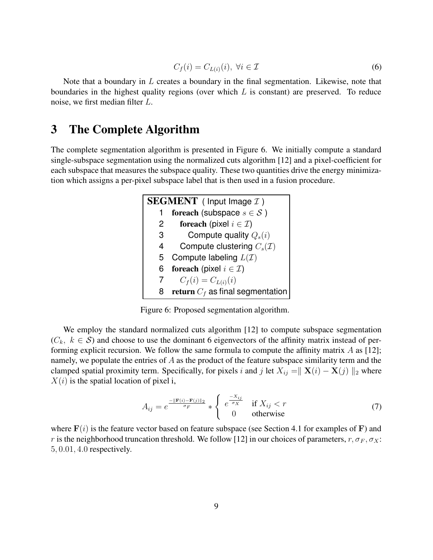$$
C_f(i) = C_{L(i)}(i), \ \forall i \in \mathcal{I}
$$
\n
$$
(6)
$$

Note that a boundary in  $L$  creates a boundary in the final segmentation. Likewise, note that boundaries in the highest quality regions (over which  $L$  is constant) are preserved. To reduce noise, we first median filter L.

# **3 The Complete Algorithm**

The complete segmentation algorithm is presented in Figure 6. We initially compute a standard single-subspace segmentation using the normalized cuts algorithm [12] and a pixel-coefficient for each subspace that measures the subspace quality. These two quantities drive the energy minimization which assigns a per-pixel subspace label that is then used in a fusion procedure.

| <b>SEGMENT</b> ( Input Image $I$ ) |                                          |  |
|------------------------------------|------------------------------------------|--|
|                                    | for each (subspace $s \in \mathcal{S}$ ) |  |
| 2                                  | foreach (pixel $i \in \mathcal{I}$ )     |  |
| 3                                  | Compute quality $Q_s(i)$                 |  |
| 4                                  | Compute clustering $C_s(\mathcal{I})$    |  |
| 5                                  | Compute labeling $L(\mathcal{I})$        |  |
| 6                                  | foreach (pixel $i \in \mathcal{I}$ )     |  |
|                                    | $C_f(i) = C_{L(i)}(i)$                   |  |
| 8                                  | return $C_f$ as final segmentation       |  |

Figure 6: Proposed segmentation algorithm.

We employ the standard normalized cuts algorithm [12] to compute subspace segmentation  $(C_k, k \in S)$  and choose to use the dominant 6 eigenvectors of the affinity matrix instead of performing explicit recursion. We follow the same formula to compute the affinity matrix  $A$  as [12]; namely, we populate the entries of  $A$  as the product of the feature subspace similarity term and the clamped spatial proximity term. Specifically, for pixels i and j let  $X_{ij} = || \mathbf{X}(i) - \mathbf{X}(j) ||_2$  where  $X(i)$  is the spatial location of pixel i,

$$
A_{ij} = e^{\frac{-\|\mathbf{F}(i) - \mathbf{F}(j)\|_2}{\sigma_F}} * \begin{cases} e^{\frac{-X_{ij}}{\sigma_X}} & \text{if } X_{ij} < r \\ 0 & \text{otherwise} \end{cases}
$$
 (7)

where  $F(i)$  is the feature vector based on feature subspace (see Section 4.1 for examples of F) and r is the neighborhood truncation threshold. We follow [12] in our choices of parameters,  $r, \sigma_F, \sigma_X$ : 5, 0.01, 4.0 respectively.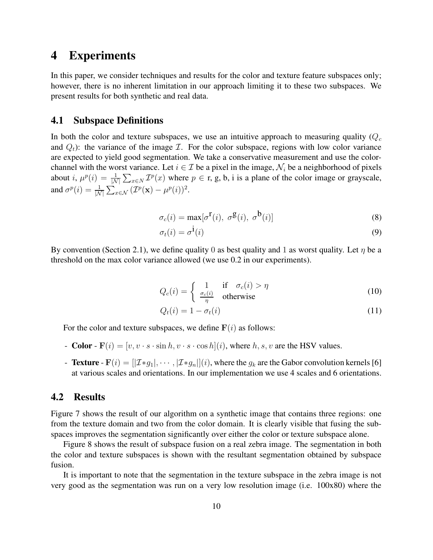## **4 Experiments**

In this paper, we consider techniques and results for the color and texture feature subspaces only; however, there is no inherent limitation in our approach limiting it to these two subspaces. We present results for both synthetic and real data.

## **4.1 Subspace Definitions**

In both the color and texture subspaces, we use an intuitive approach to measuring quality ( $Q_c$ and  $Q_t$ ): the variance of the image  $I$ . For the color subspace, regions with low color variance are expected to yield good segmentation. We take a conservative measurement and use the colorchannel with the worst variance. Let  $i \in \mathcal{I}$  be a pixel in the image,  $\mathcal{N}_i$  be a neighborhood of pixels about *i*,  $\mu^p(i) = \frac{1}{|N|}$  $\frac{1}{|N|} \sum_{x \in N} \mathcal{I}^p(x)$  where  $p \in \mathbf{r}$ , g, b, i is a plane of the color image or grayscale, and  $\sigma^p(i) = \frac{1}{\vert \Lambda_i}$  $\frac{1}{|\mathcal{N}|}\sum_{x\in\mathcal{N}}(\mathcal{I}^p(\mathbf{x})-\mu^p(i))^2.$ 

$$
\sigma_c(i) = \max[\sigma^{\mathbf{r}}(i), \ \sigma^{\mathbf{g}}(i), \ \sigma^{\mathbf{b}}(i)] \tag{8}
$$

$$
\sigma_t(i) = \sigma^{\dot{1}}(i) \tag{9}
$$

By convention (Section 2.1), we define quality 0 as best quality and 1 as worst quality. Let  $\eta$  be a threshold on the max color variance allowed (we use 0.2 in our experiments).

$$
Q_c(i) = \begin{cases} 1 & \text{if } \sigma_c(i) > \eta \\ \frac{\sigma_c(i)}{\eta} & \text{otherwise} \end{cases}
$$
 (10)

$$
Q_t(i) = 1 - \sigma_t(i) \tag{11}
$$

For the color and texture subspaces, we define  $F(i)$  as follows:

- **Color**  $F(i) = [v, v \cdot s \cdot \sin h, v \cdot s \cdot \cos h](i)$ , where h, s, v are the HSV values.
- **Texture**  $\mathbf{F}(i) = [[\mathcal{I} * g_1], \cdots, [\mathcal{I} * g_n]](i)$ , where the  $g_k$  are the Gabor convolution kernels [6] at various scales and orientations. In our implementation we use 4 scales and 6 orientations.

#### **4.2 Results**

Figure 7 shows the result of our algorithm on a synthetic image that contains three regions: one from the texture domain and two from the color domain. It is clearly visible that fusing the subspaces improves the segmentation significantly over either the color or texture subspace alone.

Figure 8 shows the result of subspace fusion on a real zebra image. The segmentation in both the color and texture subspaces is shown with the resultant segmentation obtained by subspace fusion.

It is important to note that the segmentation in the texture subspace in the zebra image is not very good as the segmentation was run on a very low resolution image (i.e. 100x80) where the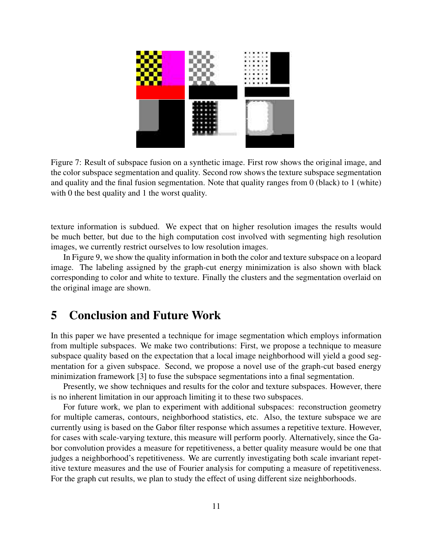

Figure 7: Result of subspace fusion on a synthetic image. First row shows the original image, and the color subspace segmentation and quality. Second row shows the texture subspace segmentation and quality and the final fusion segmentation. Note that quality ranges from 0 (black) to 1 (white) with 0 the best quality and 1 the worst quality.

texture information is subdued. We expect that on higher resolution images the results would be much better, but due to the high computation cost involved with segmenting high resolution images, we currently restrict ourselves to low resolution images.

In Figure 9, we show the quality information in both the color and texture subspace on a leopard image. The labeling assigned by the graph-cut energy minimization is also shown with black corresponding to color and white to texture. Finally the clusters and the segmentation overlaid on the original image are shown.

## **5 Conclusion and Future Work**

In this paper we have presented a technique for image segmentation which employs information from multiple subspaces. We make two contributions: First, we propose a technique to measure subspace quality based on the expectation that a local image neighborhood will yield a good segmentation for a given subspace. Second, we propose a novel use of the graph-cut based energy minimization framework [3] to fuse the subspace segmentations into a final segmentation.

Presently, we show techniques and results for the color and texture subspaces. However, there is no inherent limitation in our approach limiting it to these two subspaces.

For future work, we plan to experiment with additional subspaces: reconstruction geometry for multiple cameras, contours, neighborhood statistics, etc. Also, the texture subspace we are currently using is based on the Gabor filter response which assumes a repetitive texture. However, for cases with scale-varying texture, this measure will perform poorly. Alternatively, since the Gabor convolution provides a measure for repetitiveness, a better quality measure would be one that judges a neighborhood's repetitiveness. We are currently investigating both scale invariant repetitive texture measures and the use of Fourier analysis for computing a measure of repetitiveness. For the graph cut results, we plan to study the effect of using different size neighborhoods.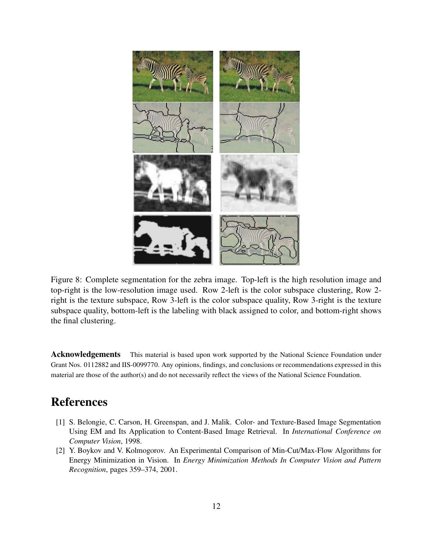

Figure 8: Complete segmentation for the zebra image. Top-left is the high resolution image and top-right is the low-resolution image used. Row 2-left is the color subspace clustering, Row 2 right is the texture subspace, Row 3-left is the color subspace quality, Row 3-right is the texture subspace quality, bottom-left is the labeling with black assigned to color, and bottom-right shows the final clustering.

**Acknowledgements** This material is based upon work supported by the National Science Foundation under Grant Nos. 0112882 and IIS-0099770. Any opinions, findings, and conclusions or recommendations expressed in this material are those of the author(s) and do not necessarily reflect the views of the National Science Foundation.

# **References**

- [1] S. Belongie, C. Carson, H. Greenspan, and J. Malik. Color- and Texture-Based Image Segmentation Using EM and Its Application to Content-Based Image Retrieval. In *International Conference on Computer Vision*, 1998.
- [2] Y. Boykov and V. Kolmogorov. An Experimental Comparison of Min-Cut/Max-Flow Algorithms for Energy Minimization in Vision. In *Energy Minimization Methods In Computer Vision and Pattern Recognition*, pages 359–374, 2001.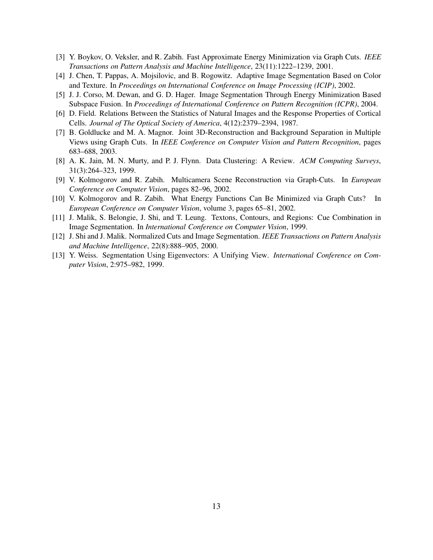- [3] Y. Boykov, O. Veksler, and R. Zabih. Fast Approximate Energy Minimization via Graph Cuts. *IEEE Transactions on Pattern Analysis and Machine Intelligence*, 23(11):1222–1239, 2001.
- [4] J. Chen, T. Pappas, A. Mojsilovic, and B. Rogowitz. Adaptive Image Segmentation Based on Color and Texture. In *Proceedings on International Conference on Image Processing (ICIP)*, 2002.
- [5] J. J. Corso, M. Dewan, and G. D. Hager. Image Segmentation Through Energy Minimization Based Subspace Fusion. In *Proceedings of International Conference on Pattern Recognition (ICPR)*, 2004.
- [6] D. Field. Relations Between the Statistics of Natural Images and the Response Properties of Cortical Cells. *Journal of The Optical Society of America*, 4(12):2379–2394, 1987.
- [7] B. Goldlucke and M. A. Magnor. Joint 3D-Reconstruction and Background Separation in Multiple Views using Graph Cuts. In *IEEE Conference on Computer Vision and Pattern Recognition*, pages 683–688, 2003.
- [8] A. K. Jain, M. N. Murty, and P. J. Flynn. Data Clustering: A Review. *ACM Computing Surveys*, 31(3):264–323, 1999.
- [9] V. Kolmogorov and R. Zabih. Multicamera Scene Reconstruction via Graph-Cuts. In *European Conference on Computer Vision*, pages 82–96, 2002.
- [10] V. Kolmogorov and R. Zabih. What Energy Functions Can Be Minimized via Graph Cuts? In *European Conference on Computer Vision*, volume 3, pages 65–81, 2002.
- [11] J. Malik, S. Belongie, J. Shi, and T. Leung. Textons, Contours, and Regions: Cue Combination in Image Segmentation. In *International Conference on Computer Vision*, 1999.
- [12] J. Shi and J. Malik. Normalized Cuts and Image Segmentation. *IEEE Transactions on Pattern Analysis and Machine Intelligence*, 22(8):888–905, 2000.
- [13] Y. Weiss. Segmentation Using Eigenvectors: A Unifying View. *International Conference on Computer Vision*, 2:975–982, 1999.